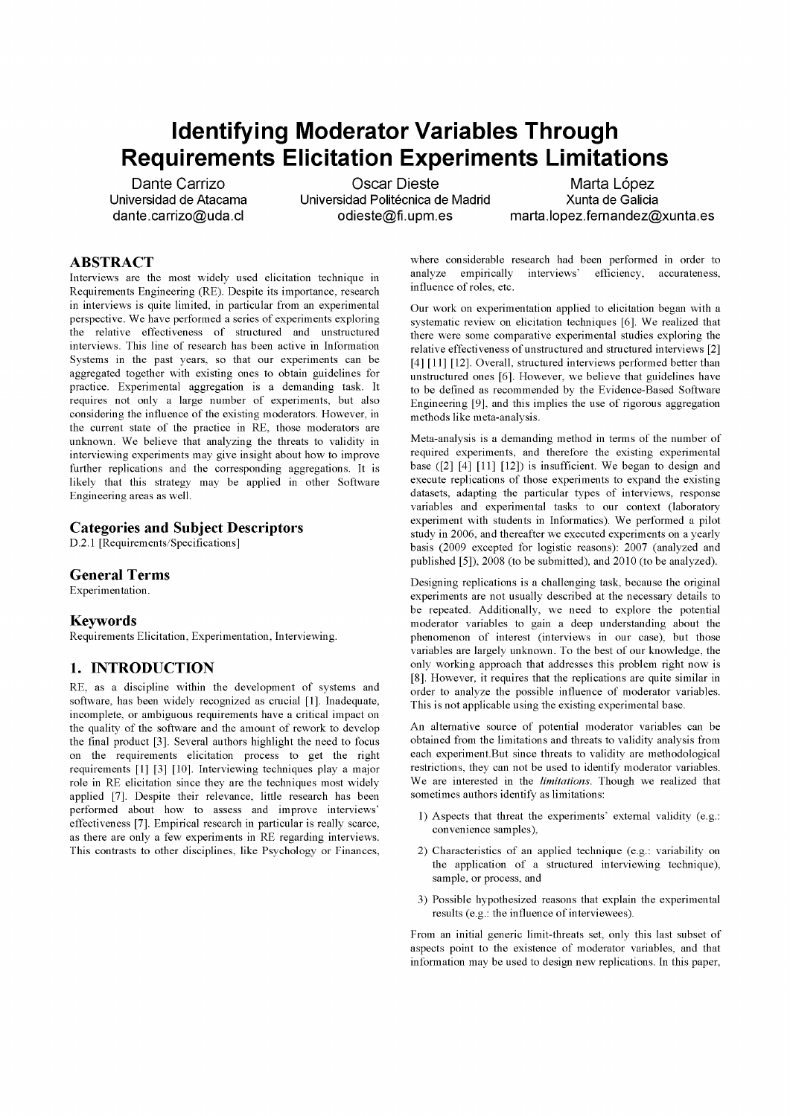# **Identifying Moderator Variables Through Requirements Elicitation Experiments Limitations**

Dante Carrizo Osear Dieste Marta López Universidad Politécnica de Madrid

[dante.carrizo@uda.cl](mailto:dante.carrizo@uda.cl) [odieste@fi.upm.es](mailto:odieste@fi.upm.es) [marta.lopez.fernandez@xunta.es](mailto:marta.lopez.fernandez@xunta.es)

# ABSTRACT

Interviews are the most widely used elicitation technique in Requirements Engineering (RE). Despite its importance, research in interviews is quite limited, in particular from an experimental perspective. We have performed a series of experiments exploring the relative effectiveness of structured and unstructured interviews. This line of research has been active in Information Systems in the past years, so that our experiments can be aggregated together with existing ones to obtain guidelines for practice. Experimental aggregation is a demanding task. It requires not only a large number of experiments, but also considering the influence of the existing moderators. However, in the current state of the practice in RE, those moderators are unknown. We believe that analyzing the threats to validity in interviewing experiments may give insight about how to improve further replications and the corresponding aggregations. It is likely that this strategy may be applied in other Software Engineering áreas as well.

#### Categories and Subject Descriptors

D.2.1 [Requirements/Specifications]

#### General Terms

Experimentation.

#### Keywords

Requirements Elicitation, Experimentation, Interviewing.

#### 1. INTRODUCTION

RE, as a discipline within the development of systems and software, has been widely recognized as crucial [1]. Inadequate, incomplete, or ambiguous requirements have a critical impact on the quality of the software and the amount of rework to develop the final product [3]. Several authors highlight the need to focus on the requirements elicitation process to get the right requirements [1] [3] [10]. Interviewing techniques play a major role in RE elicitation since they are the techniques most widely applied [7]. Despite their relevance, little research has been performed about how to assess and improve interviews' effectiveness [7]. Empirical research in particular is really scarce, as there are only a few experiments in RE regarding interviews. This contrasts to other disciplines, like Psychology or Finances,

where considerable research had been performed in order to analyze empirically interviews' efficieney, aecurateness, influence of roles, etc.

Our work on experimentation applied to elicitation began with a systematic review on elicitation techniques [6]. We realized that there were some comparative experimental studies exploring the relative effectiveness of unstructured and structured interviews [2] [4] [11] [12]. Overall, structured interviews performed better than unstructured ones [6]. However, we believe that guidelines have to be defined as recommended by the Evidence-Based Software Engineering [9], and this implies the use of rigorous aggregation methods like meta-analysis.

Meta-analysis is a demanding method in terms of the number of required experiments, and therefore the existing experimental base ([2] [4] [11] [12]) is insufficient. We began to design and execute replications of those experiments to expand the existing datasets, adapting the particular types of interviews, response variables and experimental tasks to our context (laboratory experiment with students in Informatics). We performed a pilot study in 2006, and thereafter we executed experiments on a yearly basis (2009 excepted for logistic reasons): 2007 (analyzed and published [5]), 2008 (to be submitted), and 2010 (to be analyzed).

Designing replications is a challenging task, because the original experiments are not usually described at the necessary details to be repeated. Additionally, we need to explore the potential moderator variables to gain a deep understanding about the phenomenon of interest (interviews in our case), but those variables are largely unknown. To the best of our knowledge, the only working approach that addresses this problem right now is [8]. However, it requires that the replications are quite similar in order to analyze the possible influence of moderator variables. This is not applicable using the existing experimental base.

An alternative source of potential moderator variables can be obtained from the limitations and threats to validity analysis from each experiment.But since threats to validity are methodological restrictions, they can not be used to identify moderator variables. We are interested in the *limitations.* Though we realized that sometimes authors identify as limitations:

- 1) Aspects that threat the experiments' external validity (e.g.: convenience samples),
- 2) Characteristics of an applied technique (e.g.: variability on the application of a structured interviewing technique), sample, or process, and
- 3) Possible hypothesized reasons that explain the experimental results (e.g.: the influence of interviewees).

From an initial generic limit-threats set, only this last subset of aspects point to the existence of moderator variables, and that information may be used to design new replications. In this paper,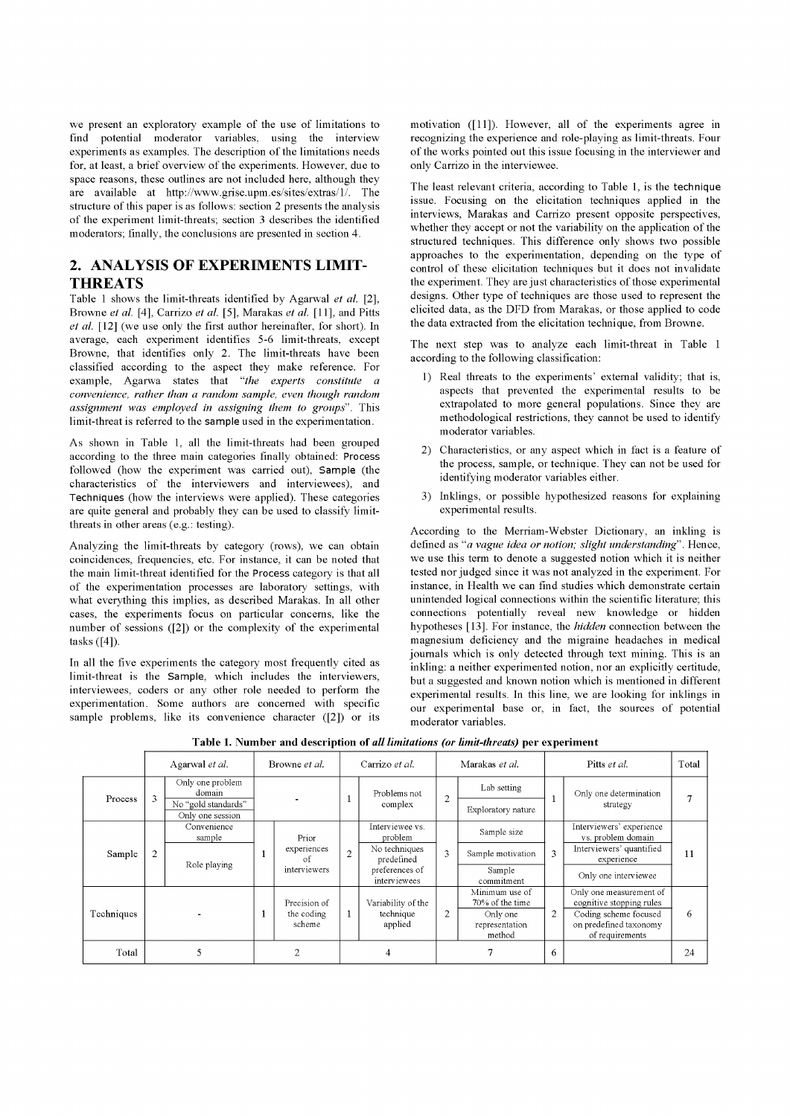we present an exploratory example of the use of limitations to find potential moderator variables, using the interview experiments as examples. The description of the limitations needs for, at least, a brief overview of the experiments. However, due to space reasons, these outlines are not included here, although they are available at [http://www.grise.upm.es/sites/extras/1/.](http://www.grise.upm.es/sites/extras/1/) The structure of this paper is as follows: section 2 presents the analysis of the experiment limit-threats; section 3 describes the identified moderators; finally, the conclusions are presented in section 4.

## 2. ANALYSIS OF EXPERIMENTS LIMIT-THREATS

Table 1 shows the limit-threats identified by Agarwal *et al.* [2], Browne *et al.* [4], Carrizo *et al.* [5], Marakas *et al.* [11], and Pitts *et al.* [12] (we use only the first author hereinafter, for short). In average, each experiment identifies 5-6 limit-threats, except Browne, that identifies only 2. The limit-threats have been classified according to the aspect they make reference. For example, Agarwa states that *"the experts constitute a convenience, rather than a random sample, even though random assignment was employed in assigning them to groups".* This limit-threat is referred to the **sample** used in the experimentation.

As shown in Table 1, all the limit-threats had been grouped according to the three main categories finally obtained: Process followed (how the experiment was carried out), Sample (the characteristics of the interviewers and interviewees), and **Techniques** (how the interviews were applied). These categories are quite general and probably they can be used to classify limitthreats in other areas (e.g.: testing).

Analyzing the limit-threats by category (rows), we can obtain coincidences, frequencies, etc. For instance, it can be noted that the main limit-threat identified for the Process category is that all of the experimentation processes are laboratory settings, with what everything this implies, as described Marakas. In all other cases, the experiments focus on particular concerns, like the number of sessions ([2]) or the complexity of the experimental tasks ([4]).

In all the five experiments the category most frequently cited as limit-threat is the Sample, which includes the interviewers, interviewees, coders or any other role needed to perform the experimentation. Some authors are concerned with specific sample problems, like its convenience character ([2]) or its

motivation ([11]). However, all of the experiments agree in recognizing the experience and role-playing as limit-threats. Four of the works pointed out this issue focusing in the interviewer and only Carrizo in the interviewee.

The least relevant criteria, according to Table 1, is the **technique**  issue. Focusing on the elicitation techniques applied in the interviews, Marakas and Carrizo present opposite perspectives, whether they accept or not the variability on the application of the structured techniques. This difference only shows two possible approaches to the experimentation, depending on the type of control of these elicitation techniques but it does not invalídate the experiment. They are just characteristics of those experimental designs. Other type of techniques are those used to represent the elicited data, as the DFD from Marakas, or those applied to code the data extracted from the elicitation technique, from Browne.

The next step was to analyze each limit-threat in Table 1 according to the following classification:

- 1) Real threats to the experiments' external validity; that is, aspects that prevented the experimental results to be extrapolated to more general populations. Since they are methodological restrictions, they cannot be used to identify moderator variables.
- 2) Characteristics, or any aspect which in fact is a feature of the process, sample, or technique. They can not be used for identifying moderator variables either.
- 3) Inklings, or possible hypothesized reasons for explaining experimental results.

According to the Merriam-Webster Dictionary, an inkling is defined as "a *vague idea or notion; slight understanding".* Henee, we use this term to denote a suggested notion which it is neither tested ñor judged since it was not analyzed in the experiment. For instance, in Health we can find studies which demonstrate certain unintended logical connections within the scientific literature; this connections potentially reveal new knowledge or hidden hypotheses [13]. For instance, the *hidden* connection between the magnesium deficieney and the migraine headaches in medical journals which is only detected through text mining. This is an inkling: a neither experimented notion, nor an explicitly certitude, but a suggested and known notion which is mentioned in different experimental results. In this line, we are looking for inklings in our experimental base or, in fact, the sources of potential moderator variables.

|            | Agarwal et al. |                                         | Browne et al. |                                            | Carrizo et al. |                                | Marakas et al. |                                      | Pitts et al.   |                                                                    | Total |
|------------|----------------|-----------------------------------------|---------------|--------------------------------------------|----------------|--------------------------------|----------------|--------------------------------------|----------------|--------------------------------------------------------------------|-------|
| Process    | 3              | Only one problem<br>domain              |               |                                            |                | Problems not<br>complex        | $\overline{2}$ | Lab setting                          |                | Only one determination<br>strategy                                 |       |
|            |                | No "gold standards"<br>Only one session |               |                                            |                |                                |                | Exploratory nature                   |                |                                                                    |       |
| Sample     | $\overline{2}$ | Convenience<br>sample                   |               | Prior<br>experiences<br>ΩŤ<br>interviewers | $\overline{2}$ | Interviewee vs.<br>problem     | 3              | Sample size                          | 3              | Interviewers' experience<br>vs. problem domain                     | 11    |
|            |                | Role playing                            |               |                                            |                | No techniques<br>predefined    |                | Sample motivation                    |                | Interviewers' quantified<br>experience                             |       |
|            |                |                                         |               |                                            |                | preferences of<br>interviewees |                | Sample<br>commitment                 |                | Only one interviewee                                               |       |
| Techniques |                |                                         | scheme        | Precision of                               | $\mathbf{1}$   | Variability of the             | 2              | Minimum use of<br>70% of the time    | $\overline{2}$ | Only one measurement of<br>cognitive stopping rules                | 6     |
|            |                |                                         |               | the coding                                 |                | technique<br>applied           |                | Only one<br>representation<br>method |                | Coding scheme focused<br>on predefined taxonomy<br>of requirements |       |
| Total      |                |                                         | h             |                                            | 4              |                                |                |                                      | 6              |                                                                    | 24    |

**Table 1. Number and descriptíon of** *all limitations (or limit-threats)* **per experiment**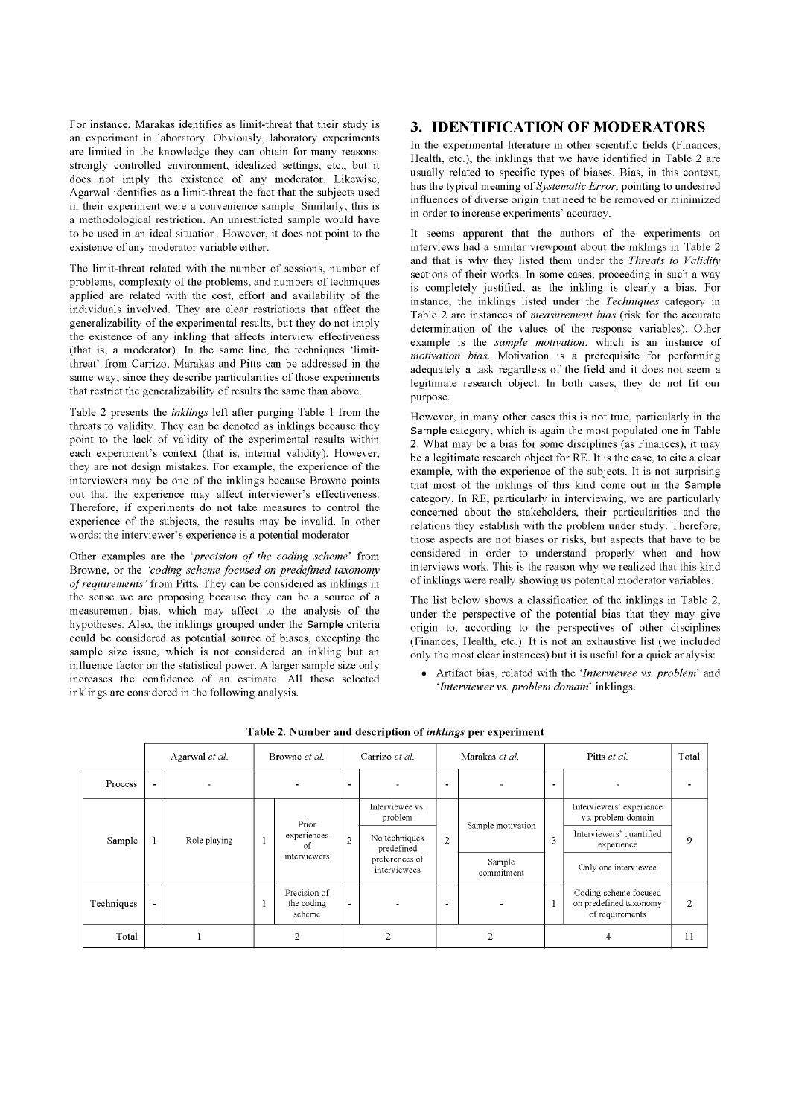For instance, Marakas identifies as limit-threat that their study is an experiment in laboratory. Obviously, laboratory experiments are limited in the knowledge they can obtain for many reasons: strongly controlled environment, idealized settings, etc., but it does not imply the existence of any moderator. Likewise, Agarwal identifies as a limit-threat the fact that the subjects used in their experiment were a convenience sample. Similarly, this is a methodological restriction. An unrestricted sample would have to be used in an ideal situation. However, it does not point to the existence of any moderator variable either.

The limit-threat related with the number of sessions, number of problems, complexity of the problems, and numbers of techniques applied are related with the cost, effort and availability of the individuáis involved. They are clear restrictions that affect the generalizability of the experimental results, but they do not imply the existence of any inkling that affects interview effectiveness (that is, a moderator). In the same line, the techniques 'limitthreat' from Carrizo, Marakas and Pitts can be addressed in the same way, since they describe particularities of those experiments that restrict the generalizability of results the same than above.

Table 2 presents the *inklings* left after purging Table 1 from the threats to validity. They can be denoted as inklings because they point to the lack of validity of the experimental results within each experiment's context (that is, internal validity). However, they are not design mistakes. For example, the experience of the interviewers may be one of the inklings because Browne points out that the experience may affect interviewer's effectiveness. Therefore, if experiments do not take measures to control the experience of the subjects, the results may be invalid. In other words: the interviewer's experience is a potential moderator.

Other examples are the *'precisión of the coding scheme'* from Browne, or the *'coding scheme focused on predefined taxonomy of requirements'* from Pitts. They can be considered as inklings in the sense we are proposing because they can be a source of a measurement bias, which may affect to the analysis of the hypotheses. Also, the inklings grouped under the Sample criteria could be considered as potential source of biases, excepting the sample size issue, which is not considered an inkling but an influence factor on the statistical power. A larger sample size only increases the confidence of an estímate. All these selected inklings are considered in the following analysis.

## 3. IDENTIFICATION OF MODERATORS

In the experimental literature in other scientific fields (Finances, Health, etc.), the inklings that we have identified in Table 2 are usually related to specific types of biases. Bias, in this context, has the typical meaning of *Systematic Error,* pointing to undesired influences of diverse origin that need to be removed or minimized in order to increase experiments' accuracy.

It seems apparent that the authors of the experiments on interviews had a similar viewpoint about the inklings in Table 2 and that is why they listed them under the *Threats to Validity* sections of their works. In some cases, proceeding in such a way is completely justified, as the inkling is clearly a bias. For instance, the inklings listed under the *Techniques* category in Table 2 are instances of *measurement bias* (risk for the accurate determination of the values of the response variables). Other example is the *sample motivation,* which is an instance of *motivation bias.* Motivation is a prerequisite for performing adequately a task regardless of the field and it does not seem a legitímate research object. In both cases, they do not fit our purpose.

However, in many other cases this is not trae, particularly in the Sample category, which is again the most populated one in Table 2. What may be a bias for some disciplines (as Finances), it may be a legitímate research object for RE. It is the case, to cite a clear example, with the experience of the subjects. It is not surprising that most of the inklings of this kind come out in the **Sample**  category. In RE, particularly in interviewing, we are particularly concerned about the stakeholders, their particularities and the relations they establish with the problem under study. Therefore, those aspects are not biases or risks, but aspects that have to be considered in order to understand properly when and how interviews work. This is the reason why we realized that this kind of inklings were really showing us potential moderator variables.

The list below shows a classification of the inklings in Table 2, under the perspective of the potential bias that they may give origin to, according to the perspectives of other disciplines (Finances, Health, etc.). It is not an exhaustive list (we included only the most clear instances) but it is useful for a quick analysis:

• Artifact bias, related with the *'Interviewee vs. problem'* and *'Interviewervs. problem domain'* inklings.

|            | Agarwal et al. |              | Browne et al. |                                            | Carrizo et al. |                                                               | Marakas et al.           |                      | Pitts et al.             |                                                                    | Total          |
|------------|----------------|--------------|---------------|--------------------------------------------|----------------|---------------------------------------------------------------|--------------------------|----------------------|--------------------------|--------------------------------------------------------------------|----------------|
| Process    | <b>11</b>      | ۰            |               |                                            | $\blacksquare$ |                                                               | -                        |                      | $\overline{\phantom{0}}$ |                                                                    |                |
| Sample     |                | Role playing |               | Prior<br>experiences<br>of<br>interviewers | $\overline{2}$ | Interviewee vs.<br>problem                                    | $\overline{2}$           | Sample motivation    | 3                        | Interviewers' experience<br>vs. problem domain                     | 9              |
|            |                |              |               |                                            |                | No techniques<br>predefined<br>preferences of<br>interviewees |                          |                      |                          | Interviewers' quantified<br>experience                             |                |
|            |                |              |               |                                            |                |                                                               |                          | Sample<br>commitment |                          | Only one interviewee                                               |                |
| Techniques |                |              |               | Precision of<br>the coding<br>scheme       | $\blacksquare$ |                                                               | $\overline{\phantom{a}}$ |                      | 1                        | Coding scheme focused<br>on predefined taxonomy<br>of requirements | $\overline{c}$ |
| Total      |                |              | ◠             |                                            | ◠              |                                                               | $\bigcap$                |                      |                          |                                                                    | 11             |

**Table 2. Number and description of** *inklings* **per experiment**